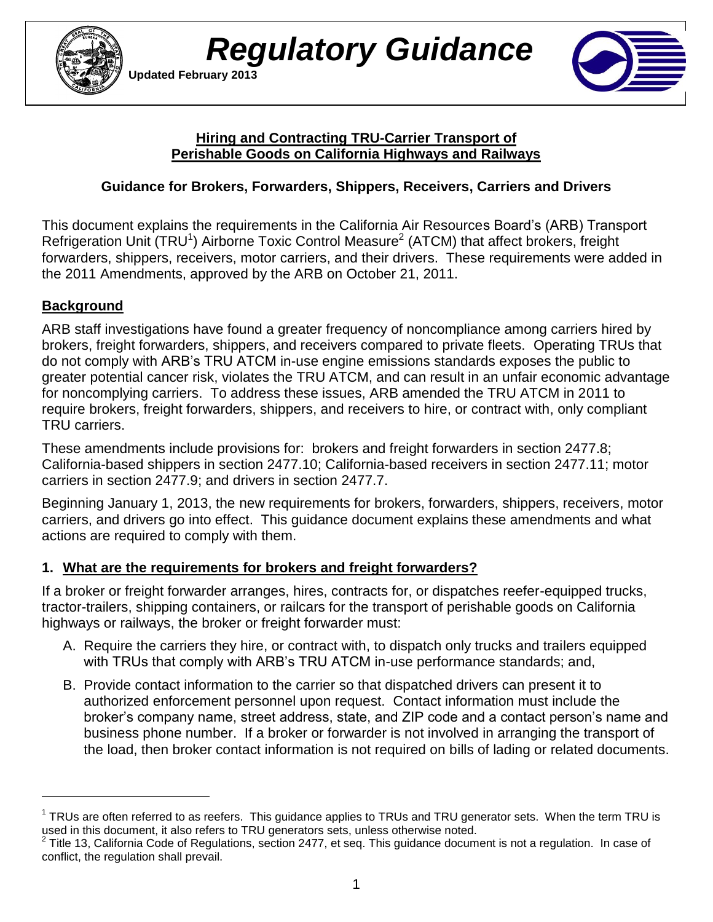



#### **Hiring and Contracting TRU-Carrier Transport of Perishable Goods on California Highways and Railways**

## **Guidance for Brokers, Forwarders, Shippers, Receivers, Carriers and Drivers**

 the 2011 Amendments, approved by the ARB on October 21, 2011. This document explains the requirements in the California Air Resources Board's (ARB) Transport Refrigeration Unit (TRU<sup>1</sup>) Airborne Toxic Control Measure<sup>2</sup> (ATCM) that affect brokers, freight forwarders, shippers, receivers, motor carriers, and their drivers. These requirements were added in

## **Background**

 $\overline{a}$ 

 brokers, freight forwarders, shippers, and receivers compared to private fleets. Operating TRUs that for noncomplying carriers. To address these issues, ARB amended the TRU ATCM in 2011 to require brokers, freight forwarders, shippers, and receivers to hire, or contract with, only compliant TRU carriers. ARB staff investigations have found a greater frequency of noncompliance among carriers hired by do not comply with ARB's TRU ATCM in-use engine emissions standards exposes the public to greater potential cancer risk, violates the TRU ATCM, and can result in an unfair economic advantage

These amendments include provisions for: brokers and freight forwarders in section 2477.8; California-based shippers in section 2477.10; California-based receivers in section 2477.11; motor carriers in section 2477.9; and drivers in section 2477.7.

 carriers, and drivers go into effect. This guidance document explains these amendments and what actions are required to comply with them. Beginning January 1, 2013, the new requirements for brokers, forwarders, shippers, receivers, motor

### **1. What are the requirements for brokers and freight forwarders?**

If a broker or freight forwarder arranges, hires, contracts for, or dispatches reefer-equipped trucks, tractor-trailers, shipping containers, or railcars for the transport of perishable goods on California highways or railways, the broker or freight forwarder must:

- with TRUs that comply with ARB's TRU ATCM in-use performance standards; and, A. Require the carriers they hire, or contract with, to dispatch only trucks and trailers equipped
- authorized enforcement personnel upon request. Contact information must include the broker's company name, street address, state, and ZIP code and a contact person's name and B. Provide contact information to the carrier so that dispatched drivers can present it to business phone number. If a broker or forwarder is not involved in arranging the transport of the load, then broker contact information is not required on bills of lading or related documents.

 $1$  TRUs are often referred to as reefers. This guidance applies to TRUs and TRU generator sets. When the term TRU is used in this document, it also refers to TRU generators sets, unless otherwise noted.

 $2$  Title 13, California Code of Regulations, section 2477, et seq. This guidance document is not a regulation. In case of conflict, the regulation shall prevail.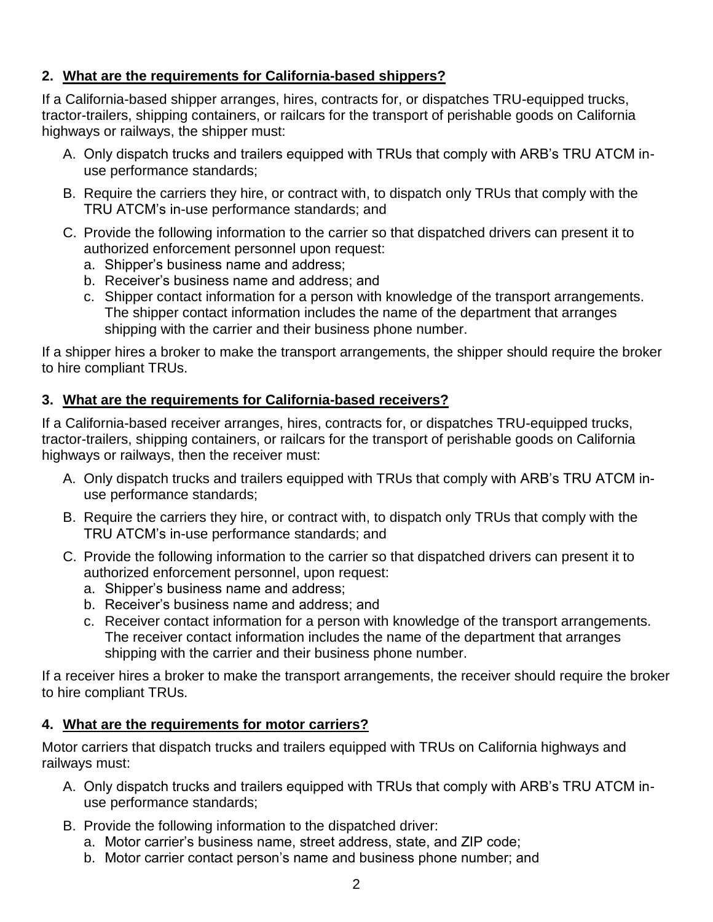### **2. What are the requirements for California-based shippers?**

If a California-based shipper arranges, hires, contracts for, or dispatches TRU-equipped trucks, tractor-trailers, shipping containers, or railcars for the transport of perishable goods on California highways or railways, the shipper must:

- A. Only dispatch trucks and trailers equipped with TRUs that comply with ARB's TRU ATCM inuse performance standards;
- B. Require the carriers they hire, or contract with, to dispatch only TRUs that comply with the TRU ATCM's in-use performance standards; and
- C. Provide the following information to the carrier so that dispatched drivers can present it to authorized enforcement personnel upon request:
	- a. Shipper's business name and address;
	- b. Receiver's business name and address; and
	- c. Shipper contact information for a person with knowledge of the transport arrangements. shipping with the carrier and their business phone number. The shipper contact information includes the name of the department that arranges

 If a shipper hires a broker to make the transport arrangements, the shipper should require the broker to hire compliant TRUs.

### **3. What are the requirements for California-based receivers?**

If a California-based receiver arranges, hires, contracts for, or dispatches TRU-equipped trucks, tractor-trailers, shipping containers, or railcars for the transport of perishable goods on California highways or railways, then the receiver must:

- A. Only dispatch trucks and trailers equipped with TRUs that comply with ARB's TRU ATCM inuse performance standards;
- B. Require the carriers they hire, or contract with, to dispatch only TRUs that comply with the TRU ATCM's in-use performance standards; and
- C. Provide the following information to the carrier so that dispatched drivers can present it to authorized enforcement personnel, upon request:
	- a. Shipper's business name and address;
	- b. Receiver's business name and address; and
	- c. Receiver contact information for a person with knowledge of the transport arrangements. The receiver contact information includes the name of the department that arranges shipping with the carrier and their business phone number.

 If a receiver hires a broker to make the transport arrangements, the receiver should require the broker to hire compliant TRUs.

#### **4. What are the requirements for motor carriers?**

Motor carriers that dispatch trucks and trailers equipped with TRUs on California highways and railways must:

- A. Only dispatch trucks and trailers equipped with TRUs that comply with ARB's TRU ATCM inuse performance standards;
- B. Provide the following information to the dispatched driver:
	- a. Motor carrier's business name, street address, state, and ZIP code;
	- b. Motor carrier contact person's name and business phone number; and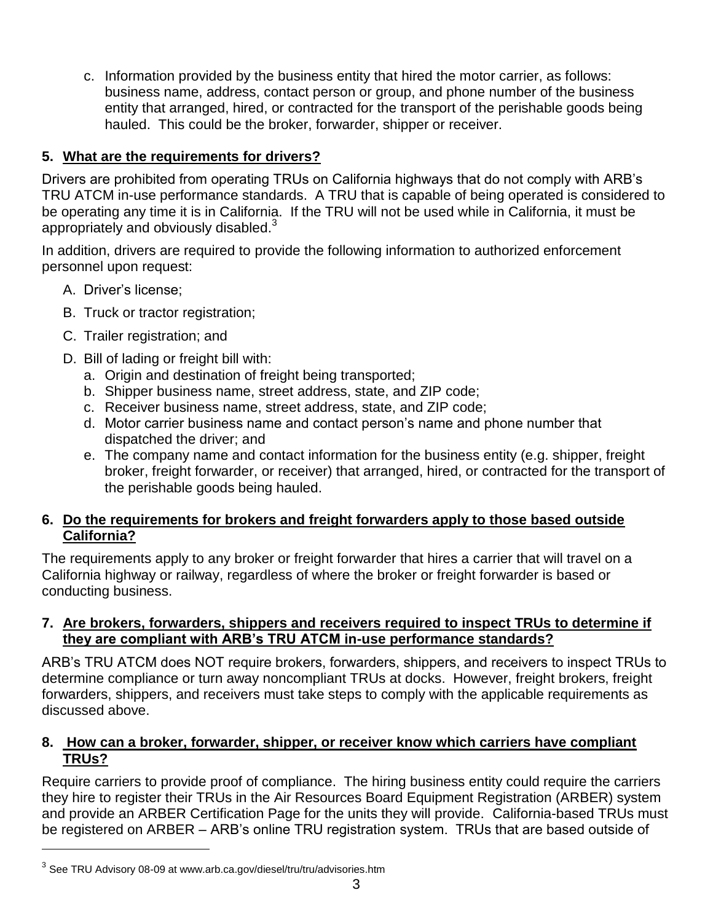hauled. This could be the broker, forwarder, shipper or receiver. c. Information provided by the business entity that hired the motor carrier, as follows: business name, address, contact person or group, and phone number of the business entity that arranged, hired, or contracted for the transport of the perishable goods being

## **5. What are the requirements for drivers?**

Drivers are prohibited from operating TRUs on California highways that do not comply with ARB's TRU ATCM in-use performance standards. A TRU that is capable of being operated is considered to be operating any time it is in California. If the TRU will not be used while in California, it must be appropriately and obviously disabled. $3$ 

 In addition, drivers are required to provide the following information to authorized enforcement personnel upon request:

- A. Driver's license;
- B. Truck or tractor registration;
- C. Trailer registration; and
- D. Bill of lading or freight bill with:
	- a. Origin and destination of freight being transported;
	- b. Shipper business name, street address, state, and ZIP code;
	- c. Receiver business name, street address, state, and ZIP code;
	- d. Motor carrier business name and contact person's name and phone number that dispatched the driver; and
	- e. The company name and contact information for the business entity (e.g. shipper, freight broker, freight forwarder, or receiver) that arranged, hired, or contracted for the transport of the perishable goods being hauled.

#### **6. Do the requirements for brokers and freight forwarders apply to those based outside California?**

 The requirements apply to any broker or freight forwarder that hires a carrier that will travel on a California highway or railway, regardless of where the broker or freight forwarder is based or conducting business.

### **7. Are brokers, forwarders, shippers and receivers required to inspect TRUs to determine if they are compliant with ARB's TRU ATCM in-use performance standards?**

 determine compliance or turn away noncompliant TRUs at docks. However, freight brokers, freight ARB's TRU ATCM does NOT require brokers, forwarders, shippers, and receivers to inspect TRUs to forwarders, shippers, and receivers must take steps to comply with the applicable requirements as discussed above.

#### **8. How can a broker, forwarder, shipper, or receiver know which carriers have compliant TRUs?**

 be registered on ARBER – ARB's online TRU registration system. TRUs that are based outside of Require carriers to provide proof of compliance. The hiring business entity could require the carriers they hire to register their TRUs in the Air Resources Board Equipment Registration (ARBER) system and provide an ARBER Certification Page for the units they will provide. California-based TRUs must

 $\overline{a}$ 

 $^3$  See TRU Advisory 08-09 at www.arb.ca.gov/diesel/tru/tru/advisories.htm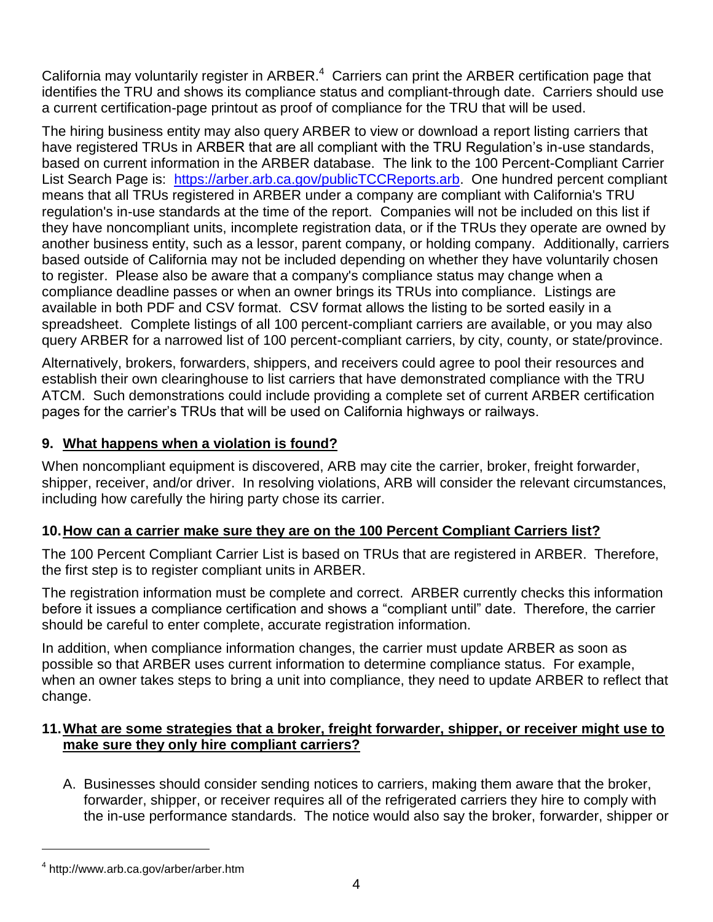California may voluntarily register in ARBER. $4$  Carriers can print the ARBER certification page that identifies the TRU and shows its compliance status and compliant-through date. Carriers should use a current certification-page printout as proof of compliance for the TRU that will be used.

 based on current information in the ARBER database. The link to the 100 Percent-Compliant Carrier List Search Page is: [https://arber.arb.ca.gov/publicTCCReports.arb.](https://arber.arb.ca.gov/publicTCCReports.arb) One hundred percent compliant regulation's in-use standards at the time of the report. Companies will not be included on this list if they have noncompliant units, incomplete registration data, or if the TRUs they operate are owned by to register. Please also be aware that a company's compliance status may change when a compliance deadline passes or when an owner brings its TRUs into compliance. Listings are available in both PDF and CSV format. CSV format allows the listing to be sorted easily in a spreadsheet. Complete listings of all 100 percent-compliant carriers are available, or you may also The hiring business entity may also query ARBER to view or download a report listing carriers that have registered TRUs in ARBER that are all compliant with the TRU Regulation's in-use standards, means that all TRUs registered in ARBER under a company are compliant with California's TRU another business entity, such as a lessor, parent company, or holding company. Additionally, carriers based outside of California may not be included depending on whether they have voluntarily chosen query ARBER for a narrowed list of 100 percent-compliant carriers, by city, county, or state/province.

 establish their own clearinghouse to list carriers that have demonstrated compliance with the TRU Alternatively, brokers, forwarders, shippers, and receivers could agree to pool their resources and ATCM. Such demonstrations could include providing a complete set of current ARBER certification pages for the carrier's TRUs that will be used on California highways or railways.

### **9. What happens when a violation is found?**

 including how carefully the hiring party chose its carrier. When noncompliant equipment is discovered, ARB may cite the carrier, broker, freight forwarder, shipper, receiver, and/or driver. In resolving violations, ARB will consider the relevant circumstances,

#### **10.How can a carrier make sure they are on the 100 Percent Compliant Carriers list?**

The 100 Percent Compliant Carrier List is based on TRUs that are registered in ARBER. Therefore, the first step is to register compliant units in ARBER.

The registration information must be complete and correct. ARBER currently checks this information before it issues a compliance certification and shows a "compliant until" date. Therefore, the carrier should be careful to enter complete, accurate registration information.

 possible so that ARBER uses current information to determine compliance status. For example, In addition, when compliance information changes, the carrier must update ARBER as soon as when an owner takes steps to bring a unit into compliance, they need to update ARBER to reflect that change.

#### **11.What are some strategies that a broker, freight forwarder, shipper, or receiver might use to make sure they only hire compliant carriers?**

A. Businesses should consider sending notices to carriers, making them aware that the broker, forwarder, shipper, or receiver requires all of the refrigerated carriers they hire to comply with the in-use performance standards. The notice would also say the broker, forwarder, shipper or

 $\overline{a}$ 

<sup>4</sup> <http://www.arb.ca.gov/arber/arber.htm>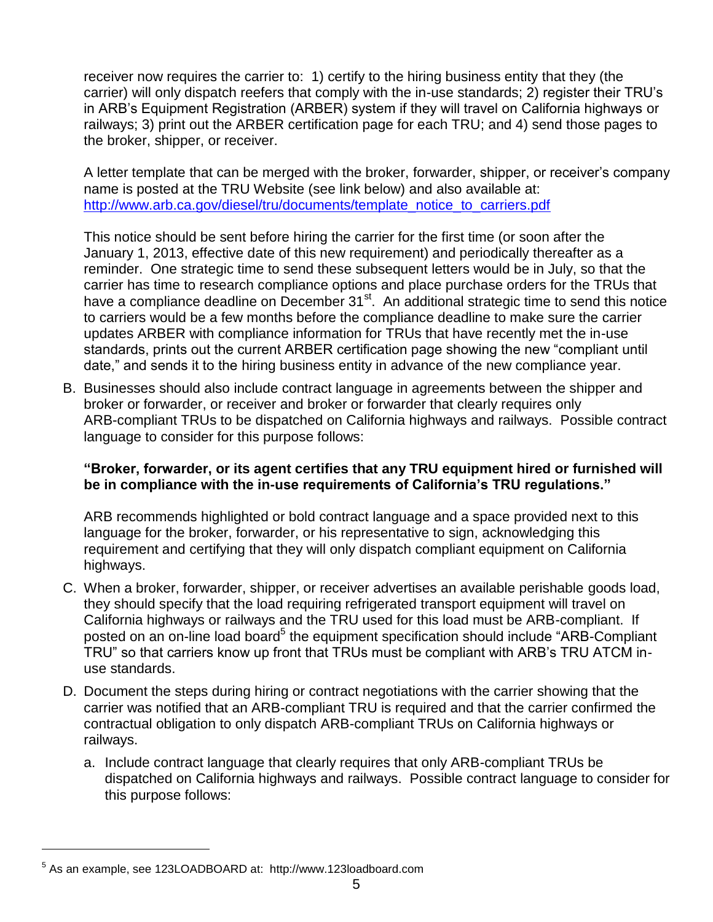receiver now requires the carrier to: 1) certify to the hiring business entity that they (the railways; 3) print out the ARBER certification page for each TRU; and 4) send those pages to carrier) will only dispatch reefers that comply with the in-use standards; 2) register their TRU's in ARB's Equipment Registration (ARBER) system if they will travel on California highways or the broker, shipper, or receiver.

 name is posted at the TRU Website (see link below) and also available at: A letter template that can be merged with the broker, forwarder, shipper, or receiver's company http://www.arb.ca.gov/diesel/tru/documents/template\_notice\_to\_carriers.pdf

 This notice should be sent before hiring the carrier for the first time (or soon after the January 1, 2013, effective date of this new requirement) and periodically thereafter as a have a compliance deadline on December  $31<sup>st</sup>$ . An additional strategic time to send this notice reminder. One strategic time to send these subsequent letters would be in July, so that the carrier has time to research compliance options and place purchase orders for the TRUs that to carriers would be a few months before the compliance deadline to make sure the carrier updates ARBER with compliance information for TRUs that have recently met the in-use standards, prints out the current ARBER certification page showing the new "compliant until date," and sends it to the hiring business entity in advance of the new compliance year.

 language to consider for this purpose follows: B. Businesses should also include contract language in agreements between the shipper and broker or forwarder, or receiver and broker or forwarder that clearly requires only ARB-compliant TRUs to be dispatched on California highways and railways. Possible contract

#### **"Broker, forwarder, or its agent certifies that any TRU equipment hired or furnished will be in compliance with the in-use requirements of California's TRU regulations."**

 language for the broker, forwarder, or his representative to sign, acknowledging this ARB recommends highlighted or bold contract language and a space provided next to this requirement and certifying that they will only dispatch compliant equipment on California highways.

- California highways or railways and the TRU used for this load must be ARB-compliant. If C. When a broker, forwarder, shipper, or receiver advertises an available perishable goods load, they should specify that the load requiring refrigerated transport equipment will travel on posted on an on-line load board<sup>5</sup> the equipment specification should include "ARB-Compliant TRU" so that carriers know up front that TRUs must be compliant with ARB's TRU ATCM inuse standards.
- D. Document the steps during hiring or contract negotiations with the carrier showing that the carrier was notified that an ARB-compliant TRU is required and that the carrier confirmed the contractual obligation to only dispatch ARB-compliant TRUs on California highways or railways.
	- this purpose follows: a. Include contract language that clearly requires that only ARB-compliant TRUs be dispatched on California highways and railways. Possible contract language to consider for

 $\overline{a}$ 

 $<sup>5</sup>$  As an example, see 123LOADBOARD at: http://www.123loadboard.com</sup>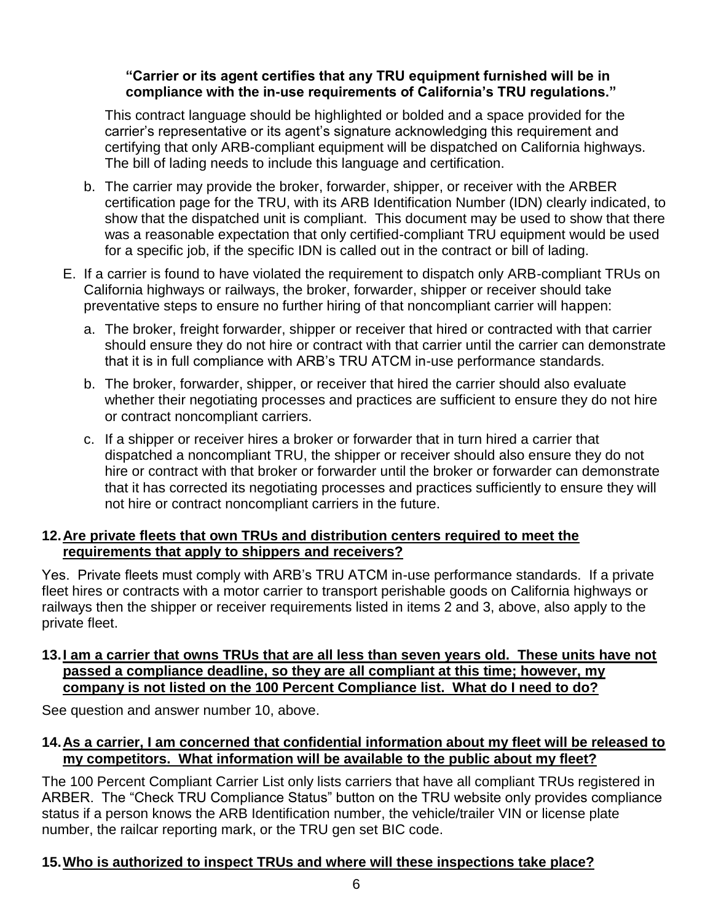#### **compliance with the in-use requirements of California's TRU regulations." "Carrier or its agent certifies that any TRU equipment furnished will be in**

 This contract language should be highlighted or bolded and a space provided for the carrier's representative or its agent's signature acknowledging this requirement and certifying that only ARB-compliant equipment will be dispatched on California highways. The bill of lading needs to include this language and certification.

- certification page for the TRU, with its ARB Identification Number (IDN) clearly indicated, to show that the dispatched unit is compliant. This document may be used to show that there was a reasonable expectation that only certified-compliant TRU equipment would be used b. The carrier may provide the broker, forwarder, shipper, or receiver with the ARBER for a specific job, if the specific IDN is called out in the contract or bill of lading.
- preventative steps to ensure no further hiring of that noncompliant carrier will happen: E. If a carrier is found to have violated the requirement to dispatch only ARB-compliant TRUs on California highways or railways, the broker, forwarder, shipper or receiver should take
	- a. The broker, freight forwarder, shipper or receiver that hired or contracted with that carrier should ensure they do not hire or contract with that carrier until the carrier can demonstrate that it is in full compliance with ARB's TRU ATCM in-use performance standards.
	- whether their negotiating processes and practices are sufficient to ensure they do not hire b. The broker, forwarder, shipper, or receiver that hired the carrier should also evaluate or contract noncompliant carriers.
	- not hire or contract noncompliant carriers in the future. c. If a shipper or receiver hires a broker or forwarder that in turn hired a carrier that dispatched a noncompliant TRU, the shipper or receiver should also ensure they do not hire or contract with that broker or forwarder until the broker or forwarder can demonstrate that it has corrected its negotiating processes and practices sufficiently to ensure they will

### **12.Are private fleets that own TRUs and distribution centers required to meet the requirements that apply to shippers and receivers?**

Yes. Private fleets must comply with ARB's TRU ATCM in-use performance standards. If a private fleet hires or contracts with a motor carrier to transport perishable goods on California highways or railways then the shipper or receiver requirements listed in items 2 and 3, above, also apply to the private fleet.

#### **13.I am a carrier that owns TRUs that are all less than seven years old. These units have not passed a compliance deadline, so they are all compliant at this time; however, my company is not listed on the 100 Percent Compliance list. What do I need to do?**

See question and answer number 10, above.

#### **14.As a carrier, I am concerned that confidential information about my fleet will be released to my competitors. What information will be available to the public about my fleet?**

 ARBER. The "Check TRU Compliance Status" button on the TRU website only provides compliance The 100 Percent Compliant Carrier List only lists carriers that have all compliant TRUs registered in status if a person knows the ARB Identification number, the vehicle/trailer VIN or license plate number, the railcar reporting mark, or the TRU gen set BIC code.

# **15.Who is authorized to inspect TRUs and where will these inspections take place?**